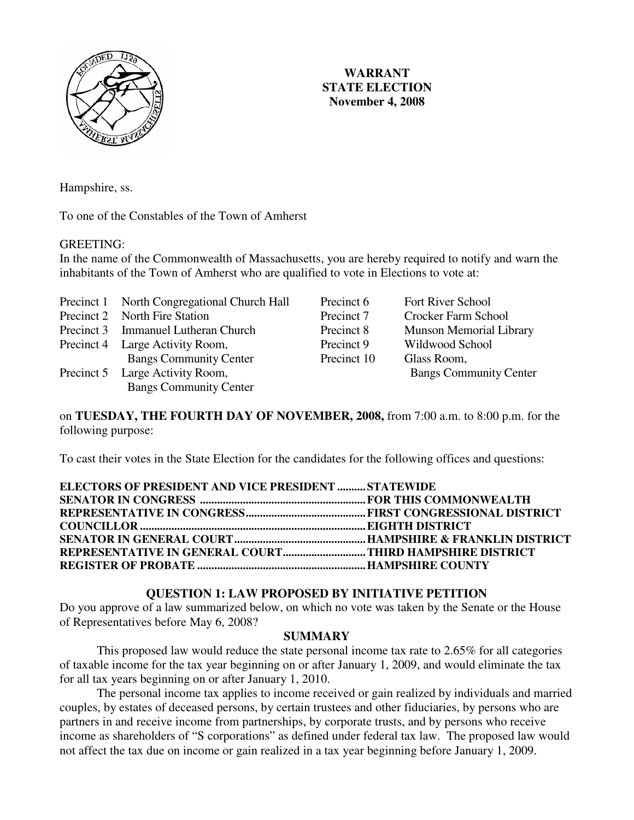

# **WARRANT STATE ELECTION November 4, 2008**

Hampshire, ss.

To one of the Constables of the Town of Amherst

#### GREETING:

In the name of the Commonwealth of Massachusetts, you are hereby required to notify and warn the inhabitants of the Town of Amherst who are qualified to vote in Elections to vote at:

Precinct 1 North Congregational Church Hall Precinct 6 Fort River School Precinct 2 North Fire Station Precinct 7 Crocker Farm School Precinct 3 Immanuel Lutheran Church Precinct 8 Munson Memorial Library Precinct 4 Large Activity Room, Precinct 9 Wildwood School Bangs Community Center Precinct 10 Glass Room, Precinct 5 Large Activity Room, Bangs Community Center Bangs Community Center

on **TUESDAY, THE FOURTH DAY OF NOVEMBER, 2008,** from 7:00 a.m. to 8:00 p.m. for the following purpose:

To cast their votes in the State Election for the candidates for the following offices and questions:

| SENATOR IN CONGRESS ………………………………………………………FOR THIS COMMONWEALTH |
|----------------------------------------------------------------|
|                                                                |
|                                                                |
|                                                                |
|                                                                |
| REPRESENTATIVE IN GENERAL COURTTHIRD HAMPSHIRE DISTRICT        |
|                                                                |

### **QUESTION 1: LAW PROPOSED BY INITIATIVE PETITION**

Do you approve of a law summarized below, on which no vote was taken by the Senate or the House of Representatives before May 6, 2008?

#### **SUMMARY**

This proposed law would reduce the state personal income tax rate to 2.65% for all categories of taxable income for the tax year beginning on or after January 1, 2009, and would eliminate the tax for all tax years beginning on or after January 1, 2010.

 The personal income tax applies to income received or gain realized by individuals and married couples, by estates of deceased persons, by certain trustees and other fiduciaries, by persons who are partners in and receive income from partnerships, by corporate trusts, and by persons who receive income as shareholders of "S corporations" as defined under federal tax law. The proposed law would not affect the tax due on income or gain realized in a tax year beginning before January 1, 2009.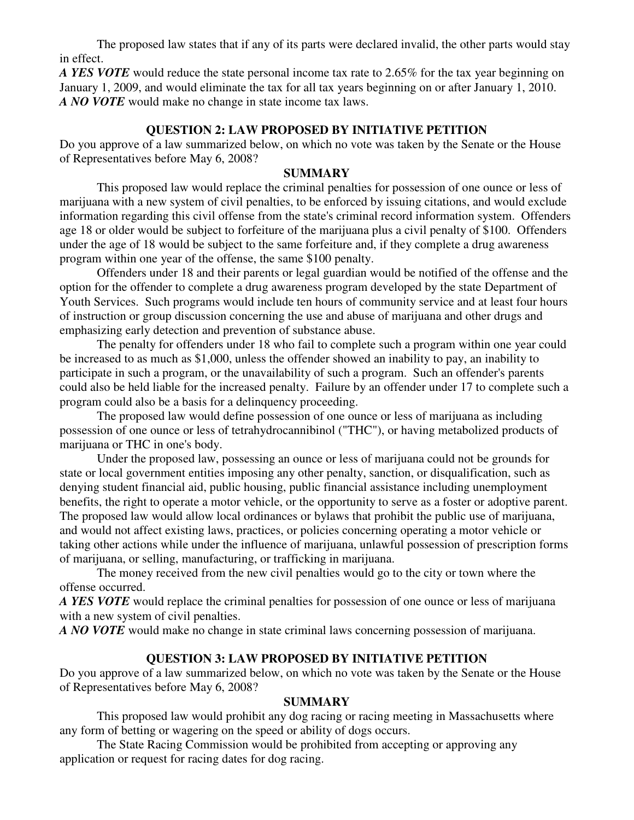The proposed law states that if any of its parts were declared invalid, the other parts would stay in effect.

*A YES VOTE* would reduce the state personal income tax rate to 2.65% for the tax year beginning on January 1, 2009, and would eliminate the tax for all tax years beginning on or after January 1, 2010. *A NO VOTE* would make no change in state income tax laws.

### **QUESTION 2: LAW PROPOSED BY INITIATIVE PETITION**

Do you approve of a law summarized below, on which no vote was taken by the Senate or the House of Representatives before May 6, 2008?

### **SUMMARY**

 This proposed law would replace the criminal penalties for possession of one ounce or less of marijuana with a new system of civil penalties, to be enforced by issuing citations, and would exclude information regarding this civil offense from the state's criminal record information system. Offenders age 18 or older would be subject to forfeiture of the marijuana plus a civil penalty of \$100. Offenders under the age of 18 would be subject to the same forfeiture and, if they complete a drug awareness program within one year of the offense, the same \$100 penalty.

 Offenders under 18 and their parents or legal guardian would be notified of the offense and the option for the offender to complete a drug awareness program developed by the state Department of Youth Services. Such programs would include ten hours of community service and at least four hours of instruction or group discussion concerning the use and abuse of marijuana and other drugs and emphasizing early detection and prevention of substance abuse.

 The penalty for offenders under 18 who fail to complete such a program within one year could be increased to as much as \$1,000, unless the offender showed an inability to pay, an inability to participate in such a program, or the unavailability of such a program. Such an offender's parents could also be held liable for the increased penalty. Failure by an offender under 17 to complete such a program could also be a basis for a delinquency proceeding.

 The proposed law would define possession of one ounce or less of marijuana as including possession of one ounce or less of tetrahydrocannibinol ("THC"), or having metabolized products of marijuana or THC in one's body.

 Under the proposed law, possessing an ounce or less of marijuana could not be grounds for state or local government entities imposing any other penalty, sanction, or disqualification, such as denying student financial aid, public housing, public financial assistance including unemployment benefits, the right to operate a motor vehicle, or the opportunity to serve as a foster or adoptive parent. The proposed law would allow local ordinances or bylaws that prohibit the public use of marijuana, and would not affect existing laws, practices, or policies concerning operating a motor vehicle or taking other actions while under the influence of marijuana, unlawful possession of prescription forms of marijuana, or selling, manufacturing, or trafficking in marijuana.

 The money received from the new civil penalties would go to the city or town where the offense occurred.

*A YES VOTE* would replace the criminal penalties for possession of one ounce or less of marijuana with a new system of civil penalties.

*A NO VOTE* would make no change in state criminal laws concerning possession of marijuana.

### **QUESTION 3: LAW PROPOSED BY INITIATIVE PETITION**

Do you approve of a law summarized below, on which no vote was taken by the Senate or the House of Representatives before May 6, 2008?

### **SUMMARY**

This proposed law would prohibit any dog racing or racing meeting in Massachusetts where any form of betting or wagering on the speed or ability of dogs occurs.

 The State Racing Commission would be prohibited from accepting or approving any application or request for racing dates for dog racing.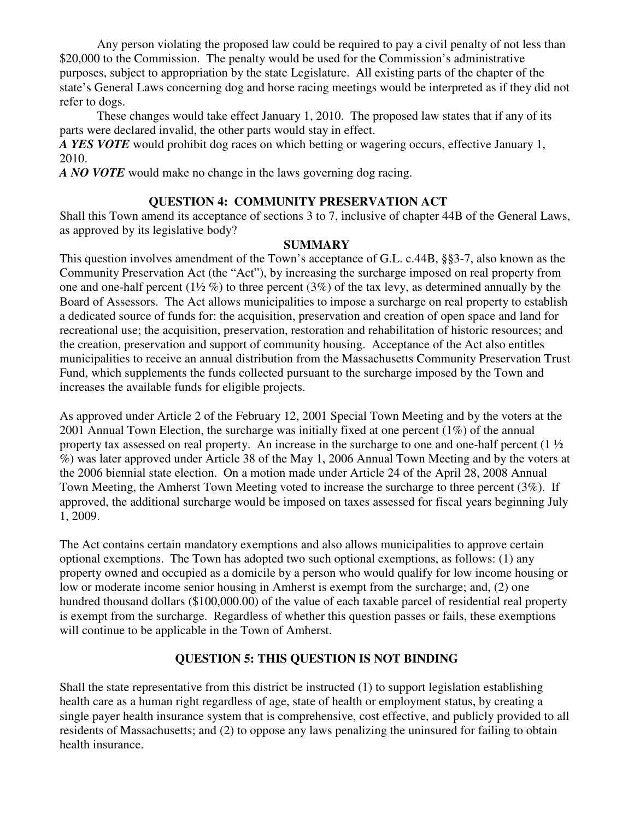Any person violating the proposed law could be required to pay a civil penalty of not less than \$20,000 to the Commission. The penalty would be used for the Commission's administrative purposes, subject to appropriation by the state Legislature. All existing parts of the chapter of the state's General Laws concerning dog and horse racing meetings would be interpreted as if they did not refer to dogs.

 These changes would take effect January 1, 2010. The proposed law states that if any of its parts were declared invalid, the other parts would stay in effect.

*A YES VOTE* would prohibit dog races on which betting or wagering occurs, effective January 1, 2010.

*A NO VOTE* would make no change in the laws governing dog racing.

# **QUESTION 4: COMMUNITY PRESERVATION ACT**

Shall this Town amend its acceptance of sections 3 to 7, inclusive of chapter 44B of the General Laws, as approved by its legislative body?

### **SUMMARY**

This question involves amendment of the Town's acceptance of G.L. c.44B, §§3-7, also known as the Community Preservation Act (the "Act"), by increasing the surcharge imposed on real property from one and one-half percent  $(1\frac{1}{2}\%)$  to three percent  $(3\%)$  of the tax levy, as determined annually by the Board of Assessors. The Act allows municipalities to impose a surcharge on real property to establish a dedicated source of funds for: the acquisition, preservation and creation of open space and land for recreational use; the acquisition, preservation, restoration and rehabilitation of historic resources; and the creation, preservation and support of community housing. Acceptance of the Act also entitles municipalities to receive an annual distribution from the Massachusetts Community Preservation Trust Fund, which supplements the funds collected pursuant to the surcharge imposed by the Town and increases the available funds for eligible projects.

As approved under Article 2 of the February 12, 2001 Special Town Meeting and by the voters at the 2001 Annual Town Election, the surcharge was initially fixed at one percent (1%) of the annual property tax assessed on real property. An increase in the surcharge to one and one-half percent (1 ½ %) was later approved under Article 38 of the May 1, 2006 Annual Town Meeting and by the voters at the 2006 biennial state election. On a motion made under Article 24 of the April 28, 2008 Annual Town Meeting, the Amherst Town Meeting voted to increase the surcharge to three percent (3%). If approved, the additional surcharge would be imposed on taxes assessed for fiscal years beginning July 1, 2009.

The Act contains certain mandatory exemptions and also allows municipalities to approve certain optional exemptions. The Town has adopted two such optional exemptions, as follows: (1) any property owned and occupied as a domicile by a person who would qualify for low income housing or low or moderate income senior housing in Amherst is exempt from the surcharge; and, (2) one hundred thousand dollars (\$100,000.00) of the value of each taxable parcel of residential real property is exempt from the surcharge. Regardless of whether this question passes or fails, these exemptions will continue to be applicable in the Town of Amherst.

# **QUESTION 5: THIS QUESTION IS NOT BINDING**

Shall the state representative from this district be instructed (1) to support legislation establishing health care as a human right regardless of age, state of health or employment status, by creating a single payer health insurance system that is comprehensive, cost effective, and publicly provided to all residents of Massachusetts; and (2) to oppose any laws penalizing the uninsured for failing to obtain health insurance.